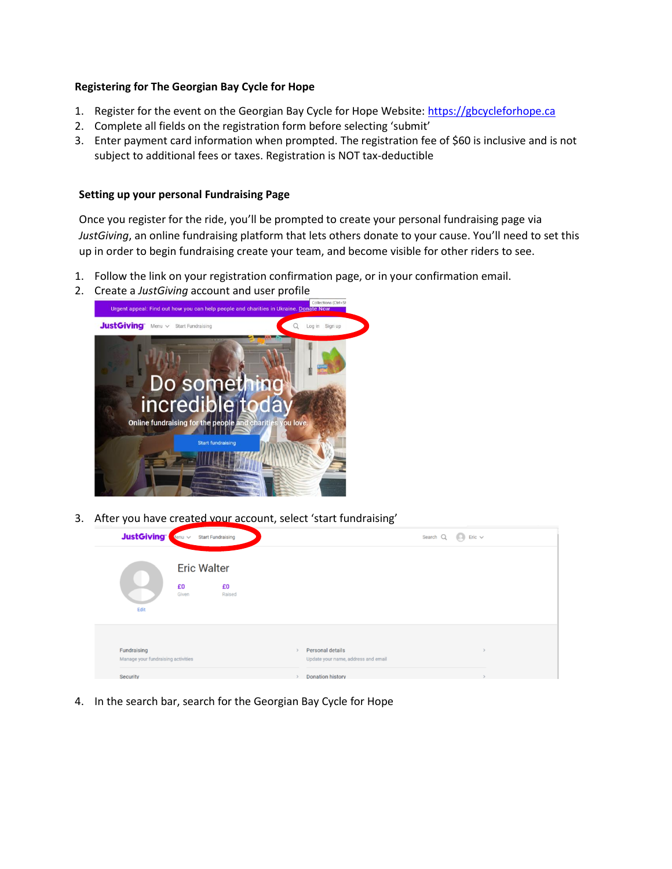## **Registering for The Georgian Bay Cycle for Hope**

- 1. Register for the event on the Georgian Bay Cycle for Hope Website[: https://gbcycleforhope.ca](https://gbcycleforhope.ca/)
- 2. Complete all fields on the registration form before selecting 'submit'
- 3. Enter payment card information when prompted. The registration fee of \$60 is inclusive and is not subject to additional fees or taxes. Registration is NOT tax-deductible

## **Setting up your personal Fundraising Page**

Once you register for the ride, you'll be prompted to create your personal fundraising page via *JustGiving*, an online fundraising platform that lets others donate to your cause. You'll need to set this up in order to begin fundraising create your team, and become visible for other riders to see.

- 1. Follow the link on your registration confirmation page, or in your confirmation email.
- 2. Create a *JustGiving* account and user profile



3. After you have created your account, select 'start fundraising'

| <b>JustGiving</b>                                 | $4$ enu $\vee$     | <b>Start Fundraising</b> |  |                                                         | Search $Q$ $Q$ Eric $\vee$ |  |
|---------------------------------------------------|--------------------|--------------------------|--|---------------------------------------------------------|----------------------------|--|
|                                                   | <b>Eric Walter</b> |                          |  |                                                         |                            |  |
| J<br>Edit                                         | £0<br>Given        | £0<br>Raised             |  |                                                         |                            |  |
|                                                   |                    |                          |  |                                                         |                            |  |
| Fundraising<br>Manage your fundraising activities |                    |                          |  | Personal details<br>Update your name, address and email |                            |  |
| Security                                          |                    |                          |  | <b>Donation history</b>                                 |                            |  |

4. In the search bar, search for the Georgian Bay Cycle for Hope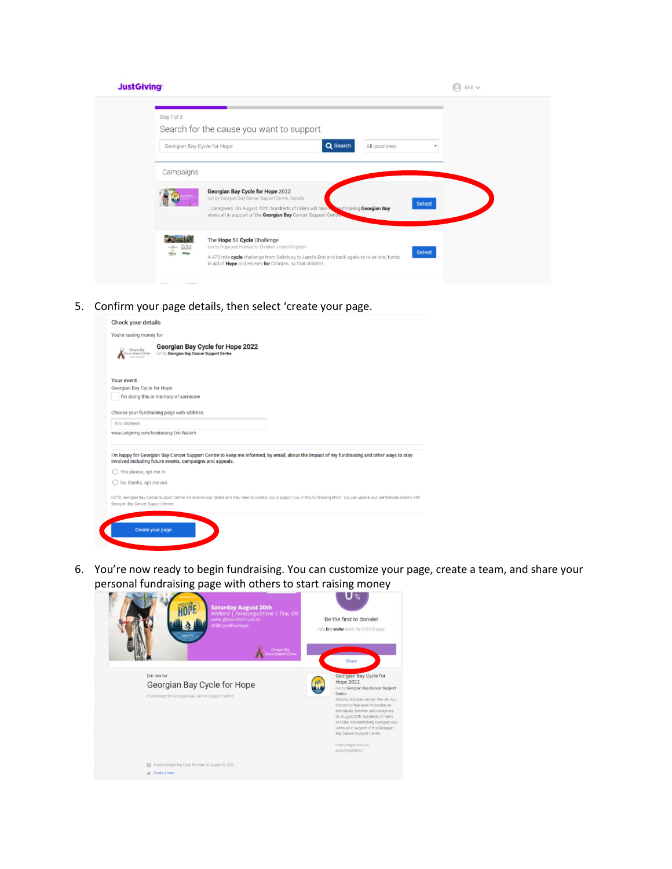| Step 1 of 3                                                                                         | Search for the cause you want to support                                                                                                                                                                                                        |               |  |
|-----------------------------------------------------------------------------------------------------|-------------------------------------------------------------------------------------------------------------------------------------------------------------------------------------------------------------------------------------------------|---------------|--|
| Georgian Bay Cycle for Hope                                                                         | Q Search<br>All countries                                                                                                                                                                                                                       | v             |  |
| Campaigns                                                                                           |                                                                                                                                                                                                                                                 |               |  |
|                                                                                                     | Georgian Bay Cycle for Hope 2022<br>run by Georgian Bay Cancer Support Centre, Canada<br>caregivers. On August 20th, hundreds of riders will take<br>sathtaking Georgian Bay<br>views all in support of the Georgian Bay Cancer Support Centre. | <b>Select</b> |  |
| $\frac{\partial \mathbf{b}}{\partial \mathbf{a}} = \frac{\partial \mathbf{b}}{\partial \mathbf{a}}$ | The Hope 50 Cycle Challenge<br>run by Hope and Homes for Children, United Kingdom                                                                                                                                                               |               |  |

5. Confirm your page details, then select 'create your page.

| <b>Check your details</b>           |                                                                                                                                                                                                       |
|-------------------------------------|-------------------------------------------------------------------------------------------------------------------------------------------------------------------------------------------------------|
| You're raising money for            |                                                                                                                                                                                                       |
| Gangun Bog<br>nces Support Centre   | <b>Georgian Bay Cycle for Hope 2022</b><br>run by Georgian Bay Cancer Support Centre                                                                                                                  |
| <b>Your event</b>                   |                                                                                                                                                                                                       |
| Georgian Bay Cycle for Hope         |                                                                                                                                                                                                       |
|                                     | I'm doing this in memory of someone                                                                                                                                                                   |
|                                     | Choose your fundraising page web address                                                                                                                                                              |
| Eric-Walter6                        |                                                                                                                                                                                                       |
|                                     | www.justgiving.com/fundraising/Eric-Walter6                                                                                                                                                           |
|                                     | I'm happy for Georgian Bay Cancer Support Centre to keep me informed, by email, about the impact of my fundraising and other ways to stay<br>involved including future events, campaigns and appeals. |
| Yes please, opt me in               |                                                                                                                                                                                                       |
| $\bigcirc$ No thanks, opt me out    |                                                                                                                                                                                                       |
| Georgian Bay Cancer Support Centre. | NOTE: Georgian Bay Cancer Support Centre will receive your details and may need to contact you to support you in this fundraising effort. You can update your preferences directly with               |
|                                     |                                                                                                                                                                                                       |
|                                     |                                                                                                                                                                                                       |
|                                     | <b>Create your page</b>                                                                                                                                                                               |

6. You're now ready to begin fundraising. You can customize your page, create a team, and share your personal fundraising page with others to start raising money

| ັ<br><b>Saturday August 20th</b><br>Midland   Penetanguishene   Tiny, ON<br>www.gbcycleforhope.ca<br>#GBCycleForHope<br>scillon<br>Gerspon Boy<br>11 September Checker | U%<br>Be the first to donate!<br>Help Eric Walter reach the CASSO0 target<br>Share                                                                                                                                                                                                                                                                                                                                  |
|------------------------------------------------------------------------------------------------------------------------------------------------------------------------|---------------------------------------------------------------------------------------------------------------------------------------------------------------------------------------------------------------------------------------------------------------------------------------------------------------------------------------------------------------------------------------------------------------------|
| Eric Walter<br>Georgian Bay Cycle for Hope<br>Fundraising for Georgian Bay Cancer Support Centre                                                                       | Georgian Bay Cycle for<br><b>Hope 2022</b><br>run by Georgian Bay Cancer Support<br>Centre<br>Nobody chooses cancer. We can ALL<br>choose to help ease its burden on<br>individuals, families, and caregivers.<br>On August 20th, hundreds of riders<br>will take in breathtaking Georgian Bay<br>views all in support of the Georgian<br>Bay Cancer Support Centre.<br>Charity Registration No.<br>840027205RR0001 |
| Event: Georgian Bay Cycle for Hope, on August 20, 2022<br>档<br>Create a team<br>til:                                                                                   |                                                                                                                                                                                                                                                                                                                                                                                                                     |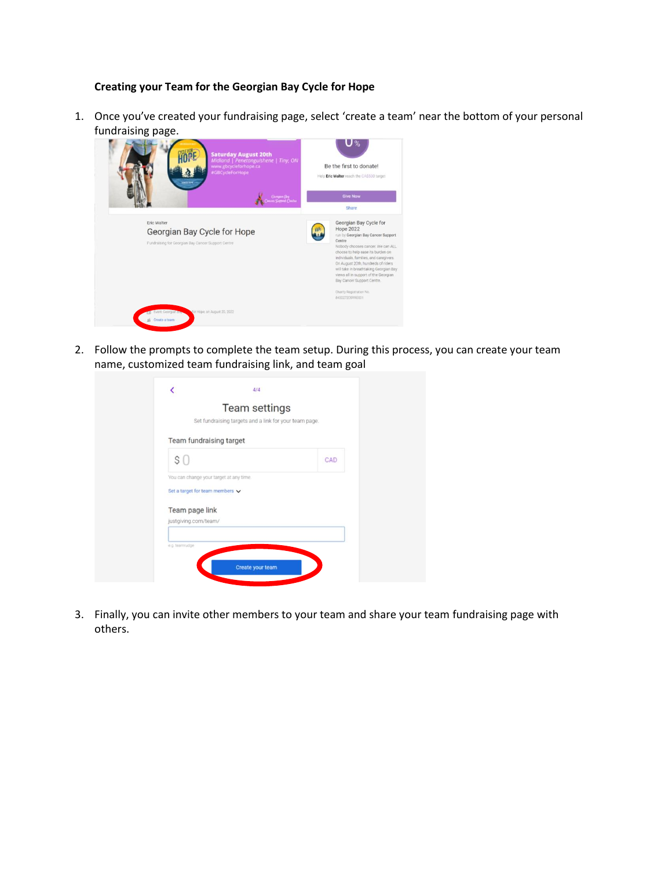## **Creating your Team for the Georgian Bay Cycle for Hope**

1. Once you've created your fundraising page, select 'create a team' near the bottom of your personal fundraising page.

| <b>Saturday August 20th</b><br>Midland   Penetanguishene   Tiny, ON<br>www.gbcycleforhope.ca<br>#GBCycleForHope<br><b>SCENT</b> | U %<br>Be the first to donate!<br>Help Eric Walter reach the CASS00 target                                                                                                                                                                                                                                                                                                                                           |
|---------------------------------------------------------------------------------------------------------------------------------|----------------------------------------------------------------------------------------------------------------------------------------------------------------------------------------------------------------------------------------------------------------------------------------------------------------------------------------------------------------------------------------------------------------------|
| Georgian Bog<br>1011 Support Chatte                                                                                             | <b>Give Now</b><br>Share                                                                                                                                                                                                                                                                                                                                                                                             |
| Eric Walter<br>Georgian Bay Cycle for Hope<br>Fundraising for Georgian Bay Cancer Support Centre                                | Georgian Bay Cycle for<br><b>Hope 2022</b><br>run by Georgian Bay Cancer Support<br>Centre<br>Nobody chooses cancer. We can ALL<br>choose to help ease its burden on<br>individuals, families, and caregivers.<br>On August 20th, hundreds of riders<br>will take in breathtaking Georgian Bay.<br>views all in support of the Georgian<br>Bay Cancer Support Centre.<br>Charity Registration No.<br>840027205890001 |
| for Hope, on August 20, 2022<br>Event Georgian by<br>Create a team                                                              |                                                                                                                                                                                                                                                                                                                                                                                                                      |

2. Follow the prompts to complete the team setup. During this process, you can create your team name, customized team fundraising link, and team goal

| Set fundraising targets and a link for your team page. | <b>Team settings</b> |
|--------------------------------------------------------|----------------------|
| Team fundraising target                                |                      |
| \$0                                                    | CAD                  |
| You can change your target at any time.                |                      |
| Set a target for team members $\vee$                   |                      |
| Team page link                                         |                      |
| justgiving.com/team/                                   |                      |
|                                                        |                      |

3. Finally, you can invite other members to your team and share your team fundraising page with others.